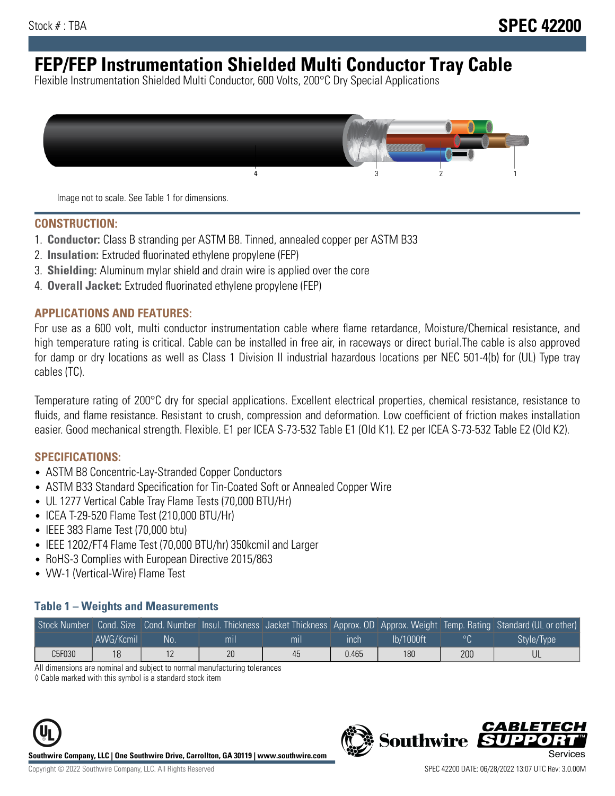# **FEP/FEP Instrumentation Shielded Multi Conductor Tray Cable**

Flexible Instrumentation Shielded Multi Conductor, 600 Volts, 200°C Dry Special Applications



Image not to scale. See Table 1 for dimensions.

#### **CONSTRUCTION:**

- 1. **Conductor:** Class B stranding per ASTM B8. Tinned, annealed copper per ASTM B33
- 2. **Insulation:** Extruded fluorinated ethylene propylene (FEP)
- 3. **Shielding:** Aluminum mylar shield and drain wire is applied over the core
- 4. **Overall Jacket:** Extruded fluorinated ethylene propylene (FEP)

#### **APPLICATIONS AND FEATURES:**

For use as a 600 volt, multi conductor instrumentation cable where flame retardance, Moisture/Chemical resistance, and high temperature rating is critical. Cable can be installed in free air, in raceways or direct burial.The cable is also approved for damp or dry locations as well as Class 1 Division II industrial hazardous locations per NEC 501-4(b) for (UL) Type tray cables (TC).

Temperature rating of 200°C dry for special applications. Excellent electrical properties, chemical resistance, resistance to fluids, and flame resistance. Resistant to crush, compression and deformation. Low coefficient of friction makes installation easier. Good mechanical strength. Flexible. E1 per ICEA S-73-532 Table E1 (Old K1). E2 per ICEA S-73-532 Table E2 (Old K2).

#### **SPECIFICATIONS:**

- ASTM B8 Concentric-Lay-Stranded Copper Conductors
- ASTM B33 Standard Specification for Tin-Coated Soft or Annealed Copper Wire
- UL 1277 Vertical Cable Tray Flame Tests (70,000 BTU/Hr)
- ICEA T-29-520 Flame Test (210,000 BTU/Hr)
- IEEE 383 Flame Test (70,000 btu)
- IEEE 1202/FT4 Flame Test (70,000 BTU/hr) 350kcmil and Larger
- RoHS-3 Complies with European Directive 2015/863
- VW-1 (Vertical-Wire) Flame Test

#### **Table 1 – Weights and Measurements**

|        |           |    |                |     |             |           |     | Stock Number Cond. Size Cond. Number Insul. Thickness Jacket Thickness Approx. OD Approx. Weight Temp. Rating Standard (UL or other) |
|--------|-----------|----|----------------|-----|-------------|-----------|-----|--------------------------------------------------------------------------------------------------------------------------------------|
|        | AWG/Kcmil | No | m <sub>l</sub> | mil | <b>inch</b> | Ib/1000ft |     | Style/Type                                                                                                                           |
| C5F030 | 18        |    | 20             | 45  | 0.465       | 180       | 200 |                                                                                                                                      |

All dimensions are nominal and subject to normal manufacturing tolerances

◊ Cable marked with this symbol is a standard stock item





CARLET